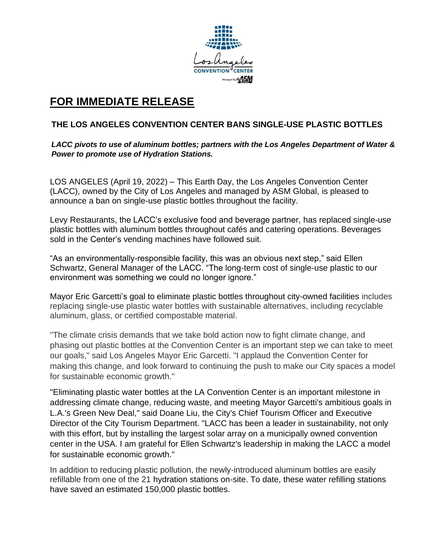

# **FOR IMMEDIATE RELEASE**

# **THE LOS ANGELES CONVENTION CENTER BANS SINGLE-USE PLASTIC BOTTLES**

*LACC pivots to use of aluminum bottles; partners with the Los Angeles Department of Water & Power to promote use of Hydration Stations.* 

LOS ANGELES (April 19, 2022) – This Earth Day, the Los Angeles Convention Center (LACC), owned by the City of Los Angeles and managed by ASM Global, is pleased to announce a ban on single-use plastic bottles throughout the facility.

Levy Restaurants, the LACC's exclusive food and beverage partner, has replaced single-use plastic bottles with aluminum bottles throughout cafés and catering operations. Beverages sold in the Center's vending machines have followed suit.

"As an environmentally-responsible facility, this was an obvious next step," said Ellen Schwartz, General Manager of the LACC. "The long-term cost of single-use plastic to our environment was something we could no longer ignore."

Mayor Eric Garcetti's goal to eliminate plastic bottles throughout city-owned facilities includes replacing single-use plastic water bottles with sustainable alternatives, including recyclable aluminum, glass, or certified compostable material.

"The climate crisis demands that we take bold action now to fight climate change, and phasing out plastic bottles at the Convention Center is an important step we can take to meet our goals," said Los Angeles Mayor Eric Garcetti. "I applaud the Convention Center for making this change, and look forward to continuing the push to make our City spaces a model for sustainable economic growth."

"Eliminating plastic water bottles at the LA Convention Center is an important milestone in addressing climate change, reducing waste, and meeting Mayor Garcetti's ambitious goals in L.A.'s Green New Deal," said Doane Liu, the City's Chief Tourism Officer and Executive Director of the City Tourism Department. "LACC has been a leader in sustainability, not only with this effort, but by installing the largest solar array on a municipally owned convention center in the USA. I am grateful for Ellen Schwartz's leadership in making the LACC a model for sustainable economic growth."

In addition to reducing plastic pollution, the newly-introduced aluminum bottles are easily refillable from one of the 21 hydration stations on-site. To date, these water refilling stations have saved an estimated 150,000 plastic bottles.